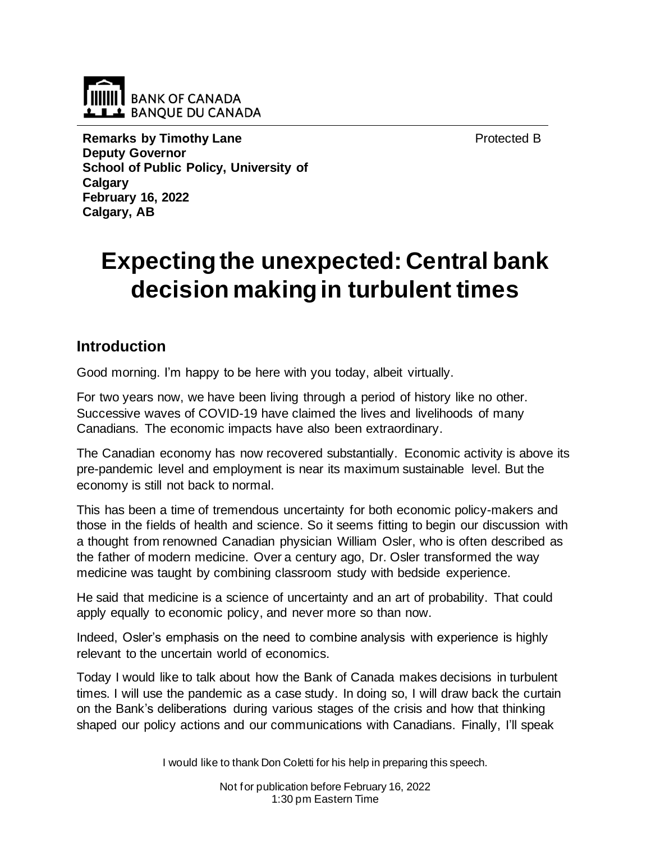**BANK OF CANADA LILL** BANQUE DU CANADA

Protected B

**Remarks by Timothy Lane Deputy Governor School of Public Policy, University of Calgary February 16, 2022 Calgary, AB** 

# **Expecting the unexpected: Central bank decision making in turbulent times**

# **Introduction**

Good morning. I'm happy to be here with you today, albeit virtually.

For two years now, we have been living through a period of history like no other. Successive waves of COVID-19 have claimed the lives and livelihoods of many Canadians. The economic impacts have also been extraordinary.

The Canadian economy has now recovered substantially. Economic activity is above its pre-pandemic level and employment is near its maximum sustainable level. But the economy is still not back to normal.

This has been a time of tremendous uncertainty for both economic policy-makers and those in the fields of health and science. So it seems fitting to begin our discussion with a thought from renowned Canadian physician William Osler, who is often described as the father of modern medicine. Over a century ago, Dr. Osler transformed the way medicine was taught by combining classroom study with bedside experience.

He said that medicine is a science of uncertainty and an art of probability. That could apply equally to economic policy, and never more so than now.

Indeed, Osler's emphasis on the need to combine analysis with experience is highly relevant to the uncertain world of economics.

Today I would like to talk about how the Bank of Canada makes decisions in turbulent times. I will use the pandemic as a case study. In doing so, I will draw back the curtain on the Bank's deliberations during various stages of the crisis and how that thinking shaped our policy actions and our communications with Canadians. Finally, I'll speak

I would like to thank Don Coletti for his help in preparing this speech.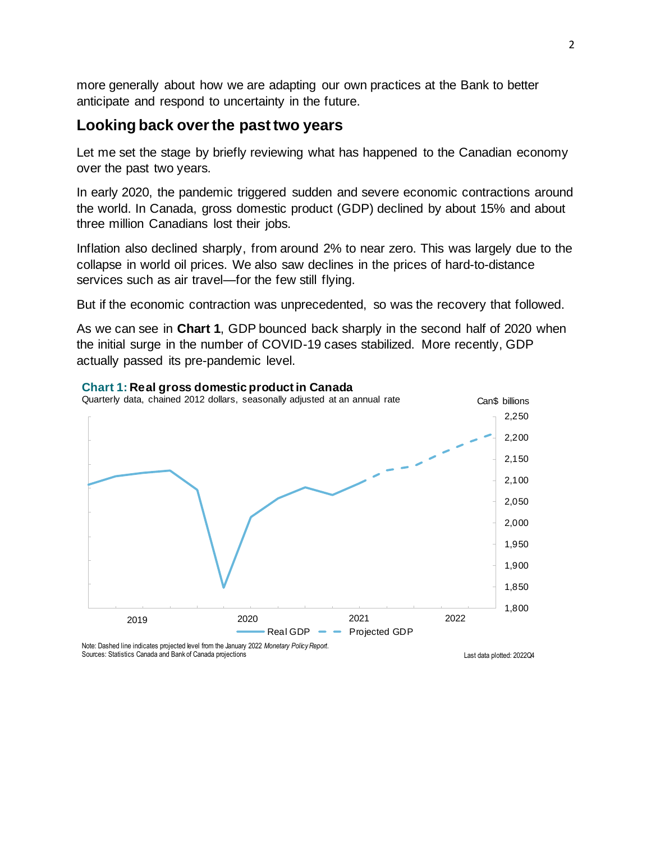more generally about how we are adapting our own practices at the Bank to better anticipate and respond to uncertainty in the future.

## **Looking back over the past two years**

Let me set the stage by briefly reviewing what has happened to the Canadian economy over the past two years.

In early 2020, the pandemic triggered sudden and severe economic contractions around the world. In Canada, gross domestic product (GDP) declined by about 15% and about three million Canadians lost their jobs.

Inflation also declined sharply, from around 2% to near zero. This was largely due to the collapse in world oil prices. We also saw declines in the prices of hard-to-distance services such as air travel—for the few still flying.

But if the economic contraction was unprecedented, so was the recovery that followed.

As we can see in **Chart 1**, GDP bounced back sharply in the second half of 2020 when the initial surge in the number of COVID-19 cases stabilized. More recently, GDP actually passed its pre-pandemic level.



#### **Chart 1: Real gross domestic product in Canada**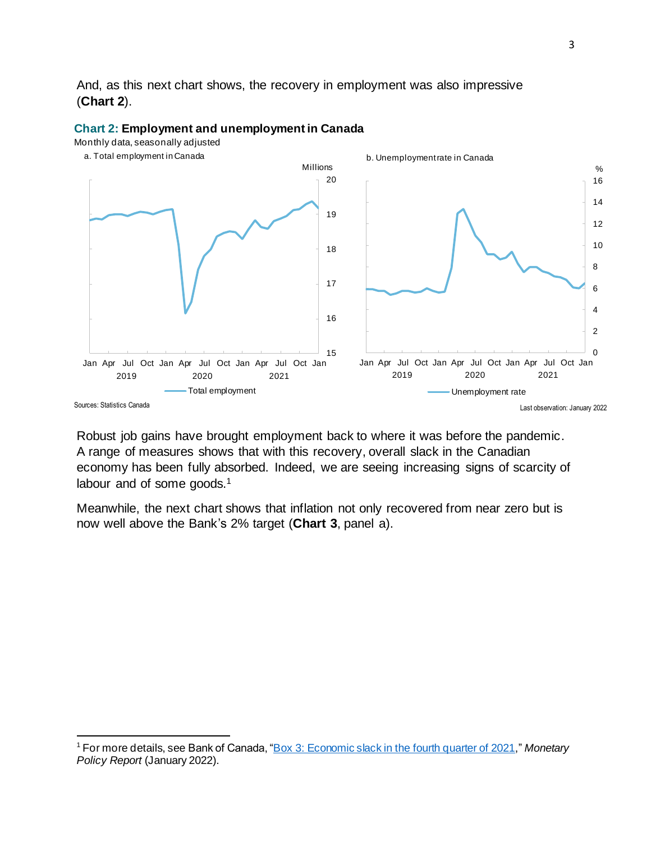And, as this next chart shows, the recovery in employment was also impressive (**Chart 2**).



#### **Chart 2: Employment and unemployment in Canada**

Monthly data, seasonally adjusted

Robust job gains have brought employment back to where it was before the pandemic. A range of measures shows that with this recovery, overall slack in the Canadian economy has been fully absorbed. Indeed, we are seeing increasing signs of scarcity of labour and of some goods.<sup>1</sup>

Meanwhile, the next chart shows that inflation not only recovered from near zero but is now well above the Bank's 2% target (**Chart 3**, panel a).

<sup>1</sup> For more details, see Bank of Canada, ["Box 3: Economic slack in the fourth quarter of 2021,](https://www.bankofcanada.ca/2022/01/mpr-2022-01-26/)" *Monetary Policy Report* (January 2022).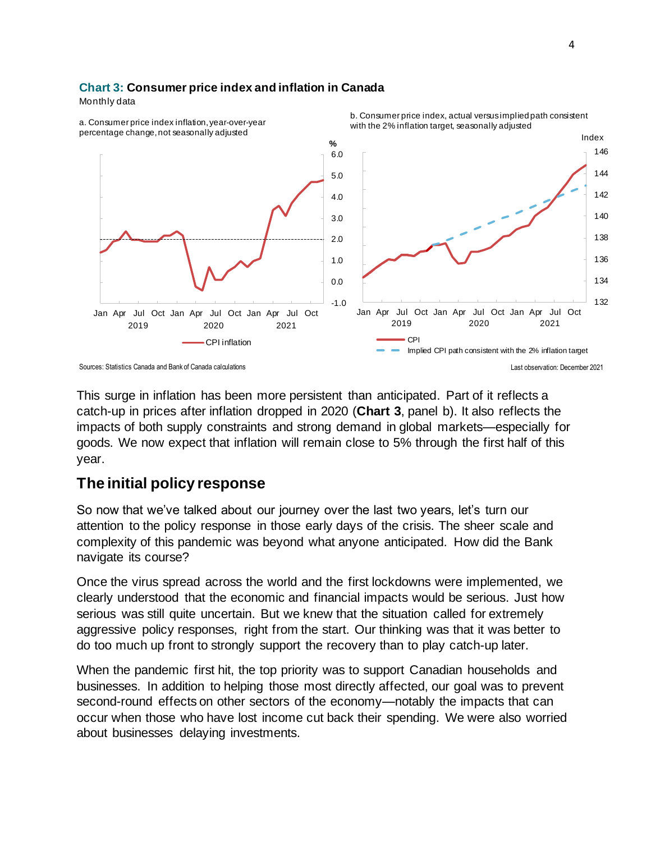### **Chart 3: Consumer price index and inflation in Canada**

Monthly data



This surge in inflation has been more persistent than anticipated. Part of it reflects a catch-up in prices after inflation dropped in 2020 (**Chart 3**, panel b). It also reflects the impacts of both supply constraints and strong demand in global markets—especially for goods. We now expect that inflation will remain close to 5% through the first half of this year.

## **The initial policy response**

So now that we've talked about our journey over the last two years, let's turn our attention to the policy response in those early days of the crisis. The sheer scale and complexity of this pandemic was beyond what anyone anticipated. How did the Bank navigate its course?

Once the virus spread across the world and the first lockdowns were implemented, we clearly understood that the economic and financial impacts would be serious. Just how serious was still quite uncertain. But we knew that the situation called for extremely aggressive policy responses, right from the start. Our thinking was that it was better to do too much up front to strongly support the recovery than to play catch-up later.

When the pandemic first hit, the top priority was to support Canadian households and businesses. In addition to helping those most directly affected, our goal was to prevent second-round effects on other sectors of the economy—notably the impacts that can occur when those who have lost income cut back their spending. We were also worried about businesses delaying investments.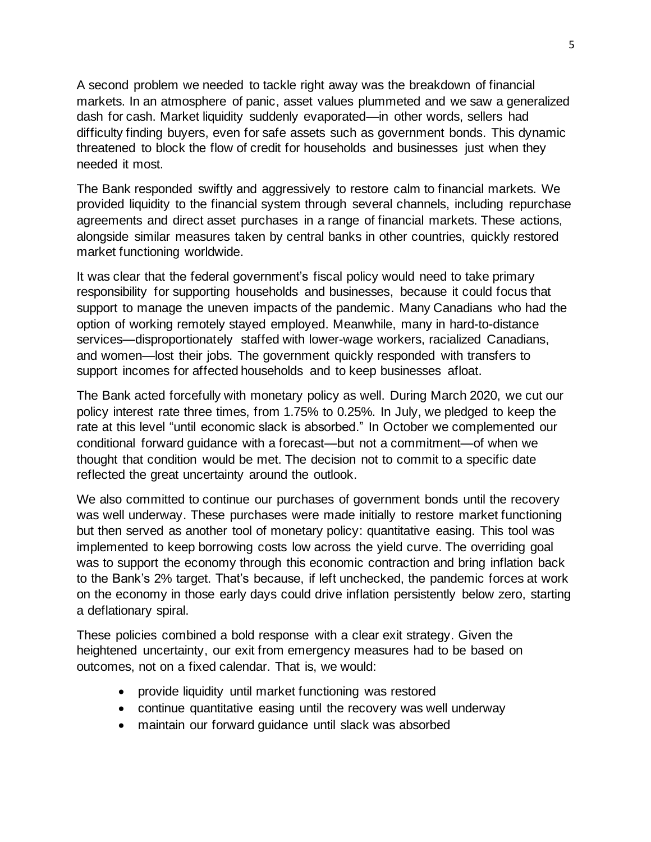A second problem we needed to tackle right away was the breakdown of financial markets. In an atmosphere of panic, asset values plummeted and we saw a generalized dash for cash. Market liquidity suddenly evaporated—in other words, sellers had difficulty finding buyers, even for safe assets such as government bonds. This dynamic threatened to block the flow of credit for households and businesses just when they needed it most.

The Bank responded swiftly and aggressively to restore calm to financial markets. We provided liquidity to the financial system through several channels, including repurchase agreements and direct asset purchases in a range of financial markets. These actions, alongside similar measures taken by central banks in other countries, quickly restored market functioning worldwide.

It was clear that the federal government's fiscal policy would need to take primary responsibility for supporting households and businesses, because it could focus that support to manage the uneven impacts of the pandemic. Many Canadians who had the option of working remotely stayed employed. Meanwhile, many in hard-to-distance services—disproportionately staffed with lower-wage workers, racialized Canadians, and women—lost their jobs. The government quickly responded with transfers to support incomes for affected households and to keep businesses afloat.

The Bank acted forcefully with monetary policy as well. During March 2020, we cut our policy interest rate three times, from 1.75% to 0.25%. In July, we pledged to keep the rate at this level "until economic slack is absorbed." In October we complemented our conditional forward guidance with a forecast—but not a commitment—of when we thought that condition would be met. The decision not to commit to a specific date reflected the great uncertainty around the outlook.

We also committed to continue our purchases of government bonds until the recovery was well underway. These purchases were made initially to restore market functioning but then served as another tool of monetary policy: quantitative easing. This tool was implemented to keep borrowing costs low across the yield curve. The overriding goal was to support the economy through this economic contraction and bring inflation back to the Bank's 2% target. That's because, if left unchecked, the pandemic forces at work on the economy in those early days could drive inflation persistently below zero, starting a deflationary spiral.

These policies combined a bold response with a clear exit strategy. Given the heightened uncertainty, our exit from emergency measures had to be based on outcomes, not on a fixed calendar. That is, we would:

- provide liquidity until market functioning was restored
- continue quantitative easing until the recovery was well underway
- maintain our forward guidance until slack was absorbed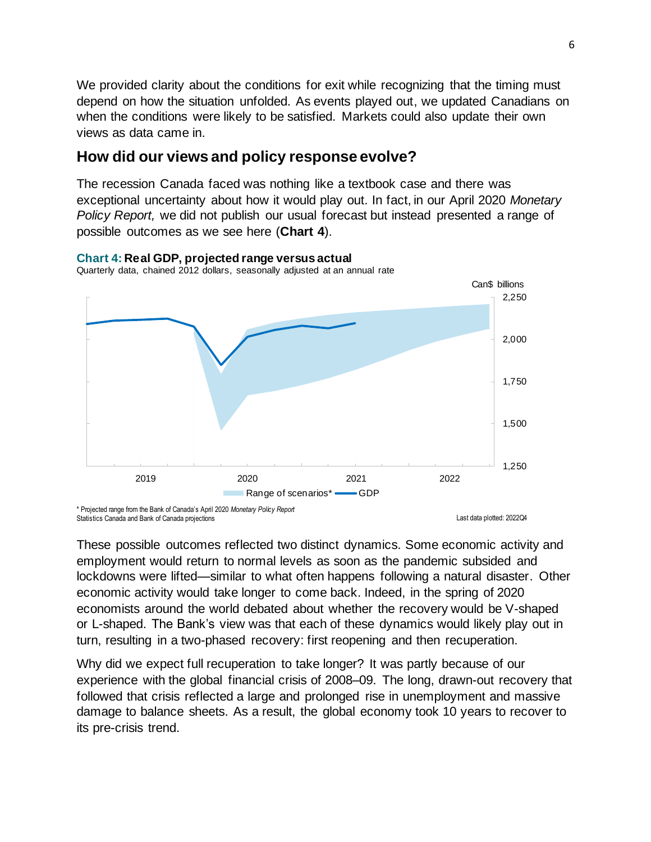We provided clarity about the conditions for exit while recognizing that the timing must depend on how the situation unfolded. As events played out, we updated Canadians on when the conditions were likely to be satisfied. Markets could also update their own views as data came in.

## **How did our views and policy response evolve?**

The recession Canada faced was nothing like a textbook case and there was exceptional uncertainty about how it would play out. In fact, in our April 2020 *Monetary Policy Report,* we did not publish our usual forecast but instead presented a range of possible outcomes as we see here (**Chart 4**).



**Chart 4: Real GDP, projected range versus actual** Quarterly data, chained 2012 dollars, seasonally adjusted at an annual rate

Statistics Canada and Bank of Canada projections

These possible outcomes reflected two distinct dynamics. Some economic activity and employment would return to normal levels as soon as the pandemic subsided and lockdowns were lifted—similar to what often happens following a natural disaster. Other economic activity would take longer to come back. Indeed, in the spring of 2020 economists around the world debated about whether the recovery would be V-shaped or L-shaped. The Bank's view was that each of these dynamics would likely play out in turn, resulting in a two-phased recovery: first reopening and then recuperation.

Why did we expect full recuperation to take longer? It was partly because of our experience with the global financial crisis of 2008–09. The long, drawn-out recovery that followed that crisis reflected a large and prolonged rise in unemployment and massive damage to balance sheets. As a result, the global economy took 10 years to recover to its pre-crisis trend.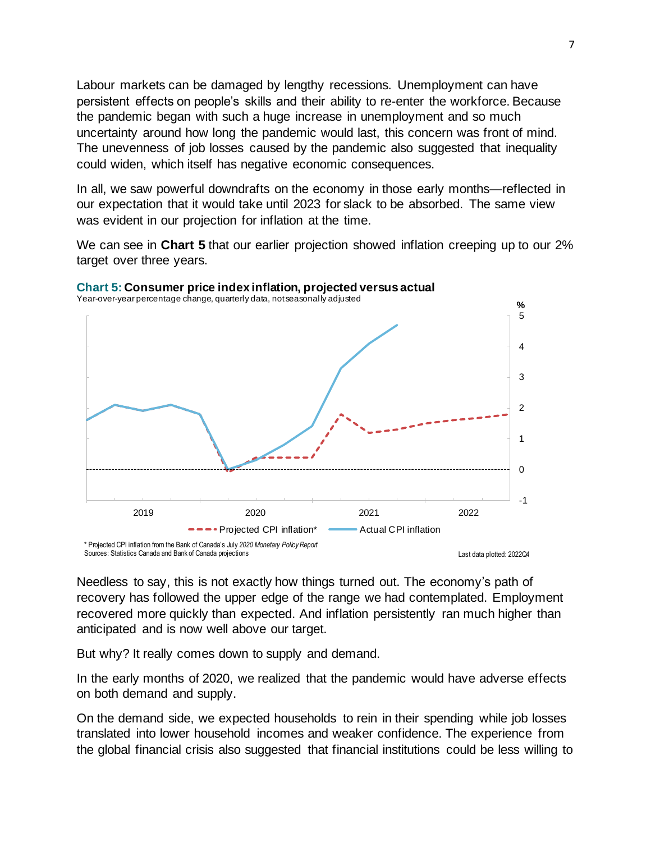Labour markets can be damaged by lengthy recessions. Unemployment can have persistent effects on people's skills and their ability to re-enter the workforce. Because the pandemic began with such a huge increase in unemployment and so much uncertainty around how long the pandemic would last, this concern was front of mind. The unevenness of job losses caused by the pandemic also suggested that inequality could widen, which itself has negative economic consequences.

In all, we saw powerful downdrafts on the economy in those early months—reflected in our expectation that it would take until 2023 for slack to be absorbed. The same view was evident in our projection for inflation at the time.

We can see in **Chart 5** that our earlier projection showed inflation creeping up to our 2% target over three years.



Needless to say, this is not exactly how things turned out. The economy's path of recovery has followed the upper edge of the range we had contemplated. Employment recovered more quickly than expected. And inflation persistently ran much higher than anticipated and is now well above our target.

But why? It really comes down to supply and demand.

In the early months of 2020, we realized that the pandemic would have adverse effects on both demand and supply.

On the demand side, we expected households to rein in their spending while job losses translated into lower household incomes and weaker confidence. The experience from the global financial crisis also suggested that financial institutions could be less willing to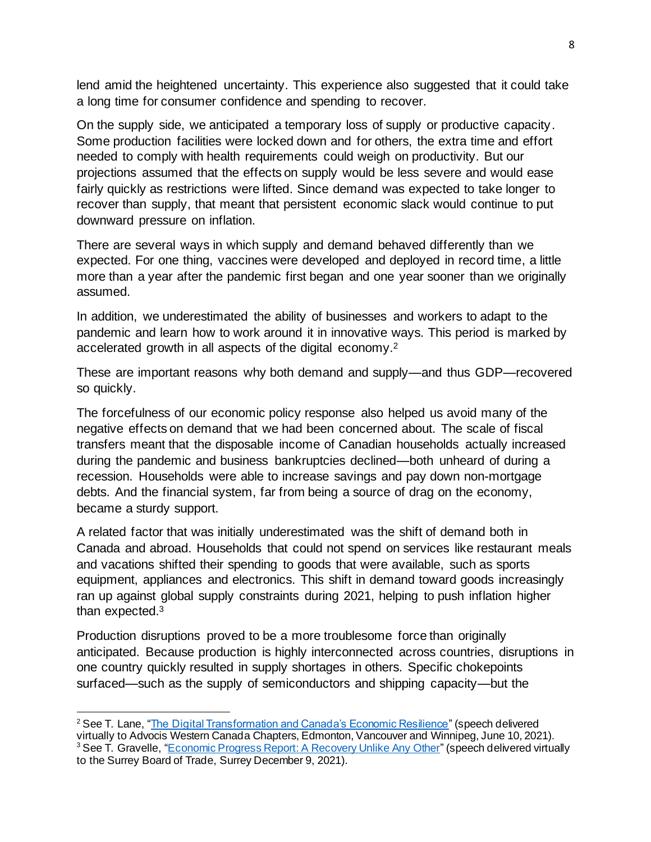lend amid the heightened uncertainty. This experience also suggested that it could take a long time for consumer confidence and spending to recover.

On the supply side, we anticipated a temporary loss of supply or productive capacity. Some production facilities were locked down and for others, the extra time and effort needed to comply with health requirements could weigh on productivity. But our projections assumed that the effects on supply would be less severe and would ease fairly quickly as restrictions were lifted. Since demand was expected to take longer to recover than supply, that meant that persistent economic slack would continue to put downward pressure on inflation.

There are several ways in which supply and demand behaved differently than we expected. For one thing, vaccines were developed and deployed in record time, a little more than a year after the pandemic first began and one year sooner than we originally assumed.

In addition, we underestimated the ability of businesses and workers to adapt to the pandemic and learn how to work around it in innovative ways. This period is marked by accelerated growth in all aspects of the digital economy.<sup>2</sup>

These are important reasons why both demand and supply—and thus GDP—recovered so quickly.

The forcefulness of our economic policy response also helped us avoid many of the negative effects on demand that we had been concerned about. The scale of fiscal transfers meant that the disposable income of Canadian households actually increased during the pandemic and business bankruptcies declined—both unheard of during a recession. Households were able to increase savings and pay down non-mortgage debts. And the financial system, far from being a source of drag on the economy, became a sturdy support.

A related factor that was initially underestimated was the shift of demand both in Canada and abroad. Households that could not spend on services like restaurant meals and vacations shifted their spending to goods that were available, such as sports equipment, appliances and electronics. This shift in demand toward goods increasingly ran up against global supply constraints during 2021, helping to push inflation higher than expected.<sup>3</sup>

Production disruptions proved to be a more troublesome force than originally anticipated. Because production is highly interconnected across countries, disruptions in one country quickly resulted in supply shortages in others. Specific chokepoints surfaced—such as the supply of semiconductors and shipping capacity—but the

<sup>&</sup>lt;sup>2</sup> See T. Lane, ["The Digital Transformation and Canada's Economic Resilience](https://www.bankofcanada.ca/2021/06/digital-transformation-canada-economic-resilience/)" (speech delivered

virtually to Advocis Western Canada Chapters, Edmonton, Vancouver and Winnipeg, June 10, 2021). <sup>3</sup> See T. Gravelle, ["Economic Progress Report: A Recovery Unlike Any Other](https://www.bankofcanada.ca/2021/12/economic-progress-report-a-recovery-unlike-any-other/)" (speech delivered virtually to the Surrey Board of Trade, Surrey December 9, 2021).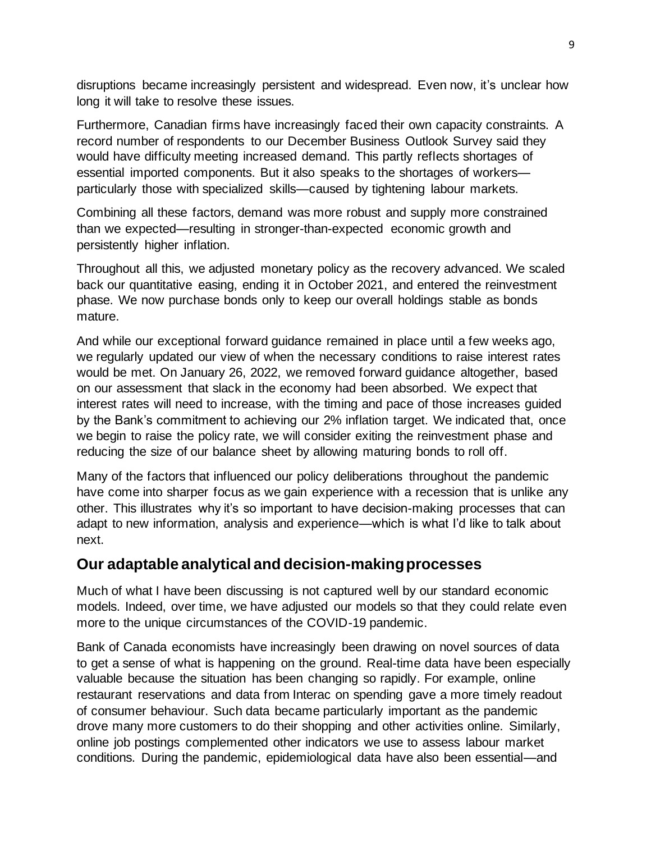disruptions became increasingly persistent and widespread. Even now, it's unclear how long it will take to resolve these issues.

Furthermore, Canadian firms have increasingly faced their own capacity constraints. A record number of respondents to our December Business Outlook Survey said they would have difficulty meeting increased demand. This partly reflects shortages of essential imported components. But it also speaks to the shortages of workers particularly those with specialized skills—caused by tightening labour markets.

Combining all these factors, demand was more robust and supply more constrained than we expected—resulting in stronger-than-expected economic growth and persistently higher inflation.

Throughout all this, we adjusted monetary policy as the recovery advanced. We scaled back our quantitative easing, ending it in October 2021, and entered the reinvestment phase. We now purchase bonds only to keep our overall holdings stable as bonds mature.

And while our exceptional forward guidance remained in place until a few weeks ago, we regularly updated our view of when the necessary conditions to raise interest rates would be met. On January 26, 2022, we removed forward guidance altogether, based on our assessment that slack in the economy had been absorbed. We expect that interest rates will need to increase, with the timing and pace of those increases guided by the Bank's commitment to achieving our 2% inflation target. We indicated that, once we begin to raise the policy rate, we will consider exiting the reinvestment phase and reducing the size of our balance sheet by allowing maturing bonds to roll off.

Many of the factors that influenced our policy deliberations throughout the pandemic have come into sharper focus as we gain experience with a recession that is unlike any other. This illustrates why it's so important to have decision-making processes that can adapt to new information, analysis and experience—which is what I'd like to talk about next.

## **Our adaptable analytical and decision-making processes**

Much of what I have been discussing is not captured well by our standard economic models. Indeed, over time, we have adjusted our models so that they could relate even more to the unique circumstances of the COVID-19 pandemic.

Bank of Canada economists have increasingly been drawing on novel sources of data to get a sense of what is happening on the ground. Real-time data have been especially valuable because the situation has been changing so rapidly. For example, online restaurant reservations and data from Interac on spending gave a more timely readout of consumer behaviour. Such data became particularly important as the pandemic drove many more customers to do their shopping and other activities online. Similarly, online job postings complemented other indicators we use to assess labour market conditions. During the pandemic, epidemiological data have also been essential—and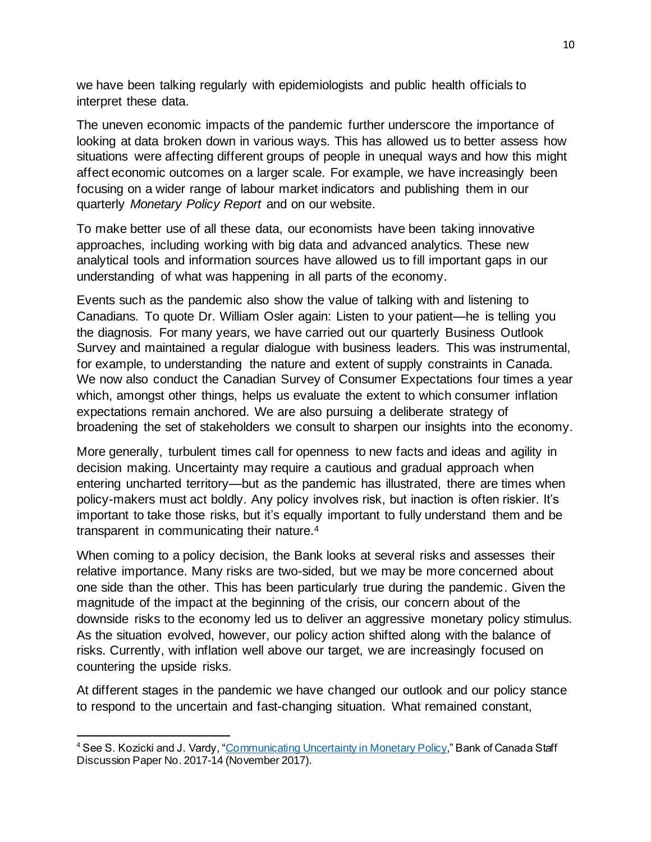we have been talking regularly with epidemiologists and public health officials to interpret these data.

The uneven economic impacts of the pandemic further underscore the importance of looking at data broken down in various ways. This has allowed us to better assess how situations were affecting different groups of people in unequal ways and how this might affect economic outcomes on a larger scale. For example, we have increasingly been focusing on a wider range of labour market indicators and publishing them in our quarterly *Monetary Policy Report* and on our website.

To make better use of all these data, our economists have been taking innovative approaches, including working with big data and advanced analytics. These new analytical tools and information sources have allowed us to fill important gaps in our understanding of what was happening in all parts of the economy.

Events such as the pandemic also show the value of talking with and listening to Canadians. To quote Dr. William Osler again: Listen to your patient—he is telling you the diagnosis. For many years, we have carried out our quarterly Business Outlook Survey and maintained a regular dialogue with business leaders. This was instrumental, for example, to understanding the nature and extent of supply constraints in Canada. We now also conduct the Canadian Survey of Consumer Expectations four times a year which, amongst other things, helps us evaluate the extent to which consumer inflation expectations remain anchored. We are also pursuing a deliberate strategy of broadening the set of stakeholders we consult to sharpen our insights into the economy.

More generally, turbulent times call for openness to new facts and ideas and agility in decision making. Uncertainty may require a cautious and gradual approach when entering uncharted territory—but as the pandemic has illustrated, there are times when policy-makers must act boldly. Any policy involves risk, but inaction is often riskier. It's important to take those risks, but it's equally important to fully understand them and be transparent in communicating their nature.<sup>4</sup>

When coming to a policy decision, the Bank looks at several risks and assesses their relative importance. Many risks are two-sided, but we may be more concerned about one side than the other. This has been particularly true during the pandemic. Given the magnitude of the impact at the beginning of the crisis, our concern about of the downside risks to the economy led us to deliver an aggressive monetary policy stimulus. As the situation evolved, however, our policy action shifted along with the balance of risks. Currently, with inflation well above our target, we are increasingly focused on countering the upside risks.

At different stages in the pandemic we have changed our outlook and our policy stance to respond to the uncertain and fast-changing situation. What remained constant,

<sup>&</sup>lt;sup>4</sup> See S. Kozicki and J. Vardy, ["Communicating Uncertainty in Monetary Policy](https://www.bankofcanada.ca/2017/11/staff-discussion-paper-2017-14/)," Bank of Canada Staff Discussion Paper No. 2017-14 (November 2017).